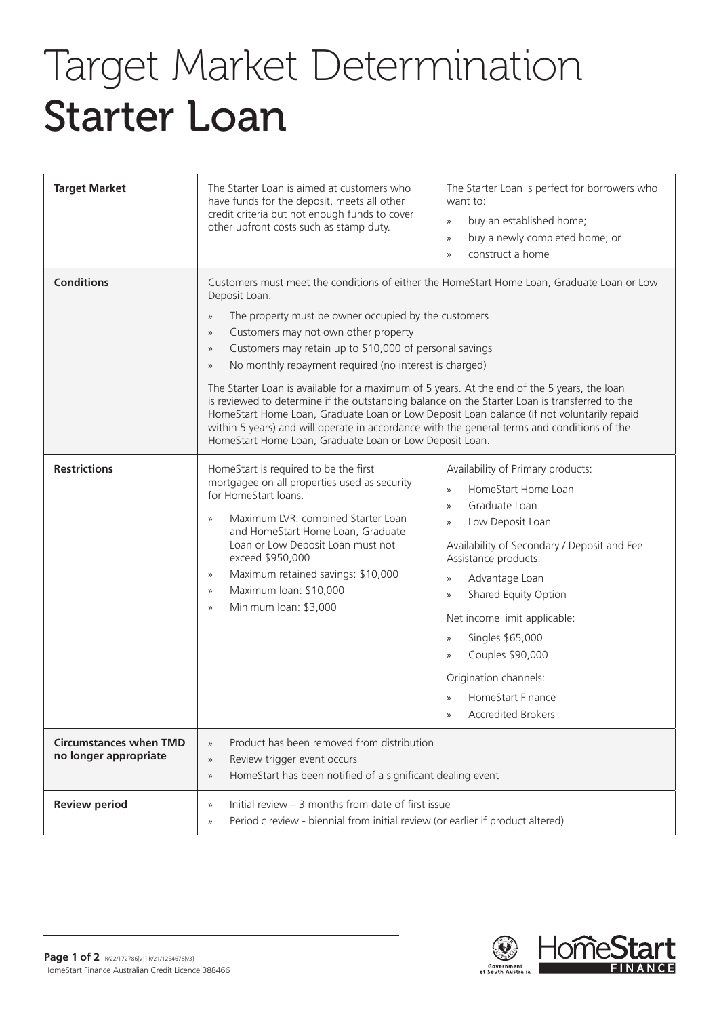## Target Market Determination Starter Loan

| <b>Target Market</b>                                   | The Starter Loan is aimed at customers who<br>have funds for the deposit, meets all other<br>credit criteria but not enough funds to cover<br>other upfront costs such as stamp duty.                                                                                                                                                                                                                                                                                                                                                                                                                                                                                                                                                                                                                                                                                           | The Starter Loan is perfect for borrowers who<br>want to:<br>buy an established home;<br>$\gg$<br>buy a newly completed home; or<br>$\gg$<br>construct a home<br>$\mathcal{V}$                                                                                                                                                                                                                                                                                        |
|--------------------------------------------------------|---------------------------------------------------------------------------------------------------------------------------------------------------------------------------------------------------------------------------------------------------------------------------------------------------------------------------------------------------------------------------------------------------------------------------------------------------------------------------------------------------------------------------------------------------------------------------------------------------------------------------------------------------------------------------------------------------------------------------------------------------------------------------------------------------------------------------------------------------------------------------------|-----------------------------------------------------------------------------------------------------------------------------------------------------------------------------------------------------------------------------------------------------------------------------------------------------------------------------------------------------------------------------------------------------------------------------------------------------------------------|
| <b>Conditions</b>                                      | Customers must meet the conditions of either the HomeStart Home Loan, Graduate Loan or Low<br>Deposit Loan.<br>The property must be owner occupied by the customers<br>$\rangle\!\rangle$<br>Customers may not own other property<br>$\rangle\!\rangle$<br>Customers may retain up to \$10,000 of personal savings<br>$\rangle\!\rangle$<br>No monthly repayment required (no interest is charged)<br>$\rangle\!\rangle$<br>The Starter Loan is available for a maximum of 5 years. At the end of the 5 years, the loan<br>is reviewed to determine if the outstanding balance on the Starter Loan is transferred to the<br>HomeStart Home Loan, Graduate Loan or Low Deposit Loan balance (if not voluntarily repaid<br>within 5 years) and will operate in accordance with the general terms and conditions of the<br>HomeStart Home Loan, Graduate Loan or Low Deposit Loan. |                                                                                                                                                                                                                                                                                                                                                                                                                                                                       |
| <b>Restrictions</b>                                    | HomeStart is required to be the first<br>mortgagee on all properties used as security<br>for HomeStart loans.<br>Maximum LVR: combined Starter Loan<br>$\mathcal{V}$<br>and HomeStart Home Loan, Graduate<br>Loan or Low Deposit Loan must not<br>exceed \$950,000<br>Maximum retained savings: \$10,000<br>$\rangle$<br>Maximum loan: \$10,000<br>$\rangle\!\rangle$<br>Minimum loan: \$3,000<br>$\mathcal{V}$                                                                                                                                                                                                                                                                                                                                                                                                                                                                 | Availability of Primary products:<br>HomeStart Home Loan<br>$\mathcal{V}$<br>Graduate Loan<br>$\mathcal{V}$<br>Low Deposit Loan<br>$\gg$<br>Availability of Secondary / Deposit and Fee<br>Assistance products:<br>Advantage Loan<br>$\gg$<br>Shared Equity Option<br>$\gg$<br>Net income limit applicable:<br>Singles \$65,000<br>$\gg$<br>Couples \$90,000<br>$\mathcal{V}$<br>Origination channels:<br>HomeStart Finance<br>$\rangle$<br><b>Accredited Brokers</b> |
| <b>Circumstances when TMD</b><br>no longer appropriate | Product has been removed from distribution<br>$\rangle\!\rangle$<br>Review trigger event occurs<br>$\rangle\!\rangle$<br>HomeStart has been notified of a significant dealing event<br>$\rangle\!\rangle$                                                                                                                                                                                                                                                                                                                                                                                                                                                                                                                                                                                                                                                                       |                                                                                                                                                                                                                                                                                                                                                                                                                                                                       |
| <b>Review period</b>                                   | Initial review $-3$ months from date of first issue<br>$\rangle\!\rangle$<br>Periodic review - biennial from initial review (or earlier if product altered)<br>$\rangle\!\rangle$                                                                                                                                                                                                                                                                                                                                                                                                                                                                                                                                                                                                                                                                                               |                                                                                                                                                                                                                                                                                                                                                                                                                                                                       |